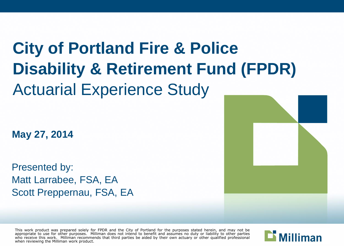# **City of Portland Fire & Police Disability & Retirement Fund (FPDR)** Actuarial Experience Study

**May 27, 2014**

Presented by: Matt Larrabee, FSA, EA Scott Preppernau, FSA, EA

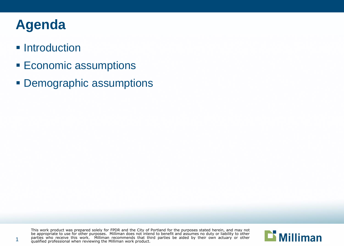#### **Agenda**

1

#### **Introduction**

- **Economic assumptions**
- **Demographic assumptions**

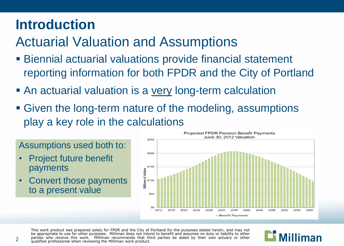#### **Introduction**

#### Actuarial Valuation and Assumptions

- Biennial actuarial valuations provide financial statement reporting information for both FPDR and the City of Portland
- An actuarial valuation is a <u>very</u> long-term calculation
- Given the long-term nature of the modeling, assumptions play a key role in the calculations



#### This work product was prepared solely for FPDR and the City of Portland for the purposes stated herein, and may not be appropriate to use for other purposes. Milliman does not intend to benefit and assumes no duty or liability to other parties who receive this work. Milliman recommends that third parties be aided by their own actuary or other qualified professional when reviewing the Milliman work product.



#### Assumptions used both to:

• Project future benefit payments

2

• Convert those payments to a present value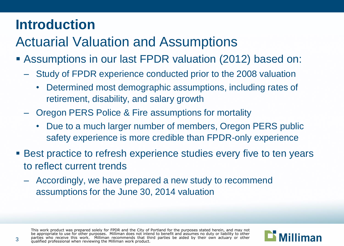#### **Introduction**

#### Actuarial Valuation and Assumptions

- Assumptions in our last FPDR valuation (2012) based on:
	- Study of FPDR experience conducted prior to the 2008 valuation
		- Determined most demographic assumptions, including rates of retirement, disability, and salary growth
	- Oregon PERS Police & Fire assumptions for mortality
		- Due to a much larger number of members, Oregon PERS public safety experience is more credible than FPDR-only experience
- Best practice to refresh experience studies every five to ten years to reflect current trends
	- Accordingly, we have prepared a new study to recommend assumptions for the June 30, 2014 valuation

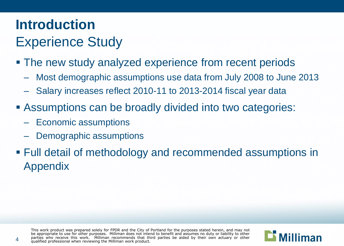#### **Introduction** Experience Study

- The new study analyzed experience from recent periods
	- Most demographic assumptions use data from July 2008 to June 2013
	- Salary increases reflect 2010-11 to 2013-2014 fiscal year data
- Assumptions can be broadly divided into two categories:
	- Economic assumptions
	- Demographic assumptions
- Full detail of methodology and recommended assumptions in Appendix

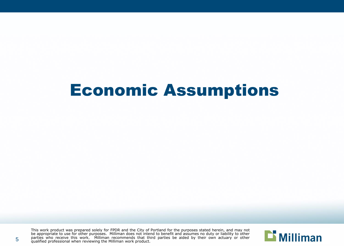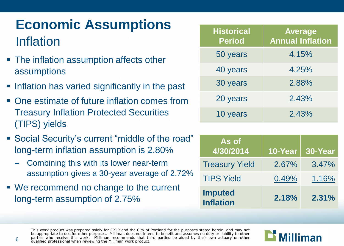#### **Economic Assumptions** Inflation

- The inflation assumption affects other assumptions
- **Inflation has varied significantly in the past**
- One estimate of future inflation comes from Treasury Inflation Protected Securities (TIPS) yields
- Social Security's current "middle of the road" long-term inflation assumption is 2.80%
	- Combining this with its lower near-term assumption gives a 30-year average of 2.72%
- We recommend no change to the current long-term assumption of 2.75%

| <b>Historical</b><br><b>Period</b> | <b>Average</b><br><b>Annual Inflation</b> |
|------------------------------------|-------------------------------------------|
| 50 years                           | 4.15%                                     |
| 40 years                           | 4.25%                                     |
| 30 years                           | 2.88%                                     |
| 20 years                           | 2.43%                                     |
| 10 years                           | 2.43%                                     |

| As of<br>4/30/2014                 | 10-Year | 30-Year |
|------------------------------------|---------|---------|
| <b>Treasury Yield</b>              | 2.67%   | 3.47%   |
| <b>TIPS Yield</b>                  | 0.49%   | 1.16%   |
| <b>Imputed</b><br><b>Inflation</b> | 2.18%   | 2.31%   |

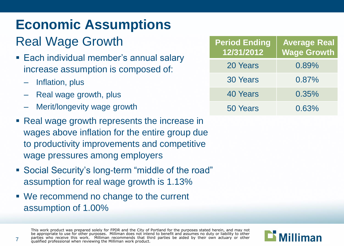#### Real Wage Growth

- **Each individual member's annual salary** increase assumption is composed of:
	- Inflation, plus
	- Real wage growth, plus
	- Merit/longevity wage growth
- Real wage growth represents the increase in wages above inflation for the entire group due to productivity improvements and competitive wage pressures among employers
- Social Security's long-term "middle of the road" assumption for real wage growth is 1.13%
- We recommend no change to the current assumption of 1.00%

| <b>Period Ending</b><br>12/31/2012 | <b>Average Real</b><br><b>Wage Growth</b> |
|------------------------------------|-------------------------------------------|
| 20 Years                           | 0.89%                                     |
| <b>30 Years</b>                    | 0.87%                                     |
| 40 Years                           | 0.35%                                     |
| 50 Years                           | 0.63%                                     |

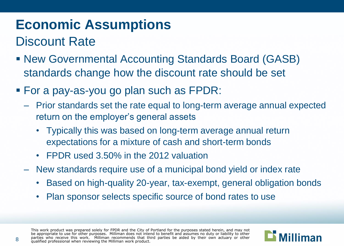#### Discount Rate

- New Governmental Accounting Standards Board (GASB) standards change how the discount rate should be set
- For a pay-as-you go plan such as FPDR:
	- Prior standards set the rate equal to long-term average annual expected return on the employer's general assets
		- Typically this was based on long-term average annual return expectations for a mixture of cash and short-term bonds
		- FPDR used 3.50% in the 2012 valuation
	- New standards require use of a municipal bond yield or index rate
		- Based on high-quality 20-year, tax-exempt, general obligation bonds
		- Plan sponsor selects specific source of bond rates to use

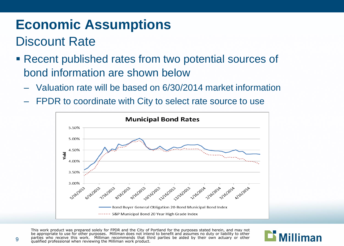#### Discount Rate

- Recent published rates from two potential sources of bond information are shown below
	- Valuation rate will be based on 6/30/2014 market information
	- FPDR to coordinate with City to select rate source to use



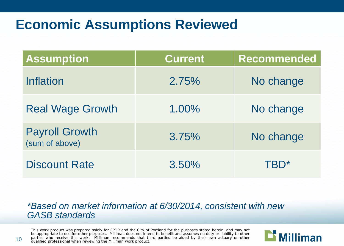#### **Economic Assumptions Reviewed**

| <b>Assumption</b>                       | <b>Current</b> | <b>Recommended</b> |
|-----------------------------------------|----------------|--------------------|
| <b>Inflation</b>                        | 2.75%          | No change          |
| <b>Real Wage Growth</b>                 | 1.00%          | No change          |
| <b>Payroll Growth</b><br>(sum of above) | 3.75%          | No change          |
| <b>Discount Rate</b>                    | 3.50%          | TBD*               |

#### *\*Based on market information at 6/30/2014, consistent with new GASB standards*

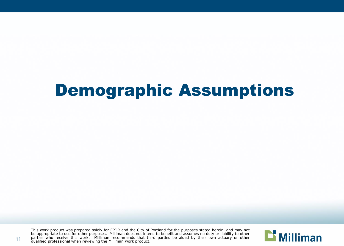This work product was prepared solely for FPDR and the City of Portland for the purposes stated herein, and may not be appropriate to use for other purposes. Milliman does not intend to benefit and assumes no duty or liability to other parties who receive this work. Milliman recommends that third parties be aided by their own actuary or other qualified professional when reviewing the Milliman work product.



11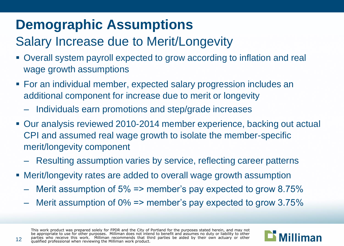#### Salary Increase due to Merit/Longevity

- Overall system payroll expected to grow according to inflation and real wage growth assumptions
- For an individual member, expected salary progression includes an additional component for increase due to merit or longevity
	- Individuals earn promotions and step/grade increases
- Our analysis reviewed 2010-2014 member experience, backing out actual CPI and assumed real wage growth to isolate the member-specific merit/longevity component
	- Resulting assumption varies by service, reflecting career patterns
- Merit/longevity rates are added to overall wage growth assumption
	- Merit assumption of 5% => member's pay expected to grow 8.75%
	- Merit assumption of 0% => member's pay expected to grow 3.75%

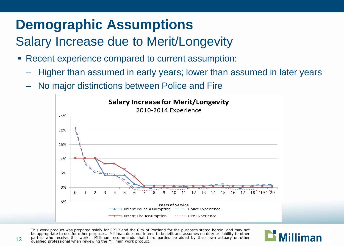#### Salary Increase due to Merit/Longevity

- Recent experience compared to current assumption:
	- Higher than assumed in early years; lower than assumed in later years
	- No major distinctions between Police and Fire



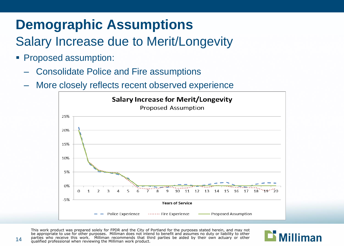#### Salary Increase due to Merit/Longevity

- **Proposed assumption:** 
	- Consolidate Police and Fire assumptions
	- More closely reflects recent observed experience



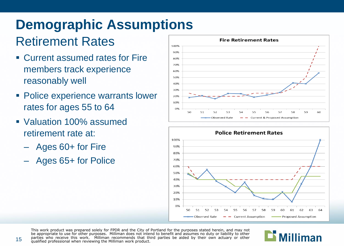#### Retirement Rates

- Current assumed rates for Fire members track experience reasonably well
- Police experience warrants lower rates for ages 55 to 64
- Valuation 100% assumed retirement rate at:
	- Ages 60+ for Fire
	- Ages 65+ for Police





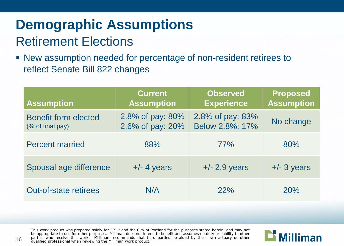#### **Demographic Assumptions** Retirement Elections

 New assumption needed for percentage of non-resident retirees to reflect Senate Bill 822 changes

| <b>Assumption</b>                               | <b>Current</b><br><b>Assumption</b>  | <b>Observed</b><br><b>Experience</b> | <b>Proposed</b><br><b>Assumption</b> |
|-------------------------------------------------|--------------------------------------|--------------------------------------|--------------------------------------|
| <b>Benefit form elected</b><br>(% of final pay) | 2.8% of pay: 80%<br>2.6% of pay: 20% | 2.8% of pay: 83%<br>Below 2.8%: 17%  | No change                            |
| <b>Percent married</b>                          | 88%                                  | 77%                                  | 80%                                  |
| Spousal age difference                          | $+/- 4$ years                        | $+/- 2.9$ years                      | $+/- 3$ years                        |
| <b>Out-of-state retirees</b>                    | N/A                                  | 22%                                  | 20%                                  |

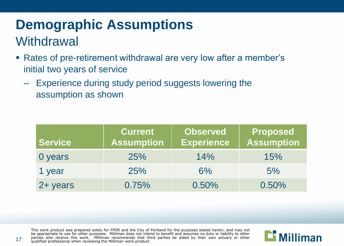### **Demographic Assumptions Withdrawal**

- Rates of pre-retirement withdrawal are very low after a member's initial two years of service
	- Experience during study period suggests lowering the assumption as shown

| <b>Service</b> | <b>Current</b><br><b>Assumption</b> | <b>Observed</b><br><b>Experience</b> | Proposed<br><b>Assumption</b> |
|----------------|-------------------------------------|--------------------------------------|-------------------------------|
| 0 years        | 25%                                 | 14%                                  | 15%                           |
| 1 year         | 25%                                 | 6%                                   | 5%                            |
| 2+ years       | 0.75%                               | 0.50%                                | 0.50%                         |

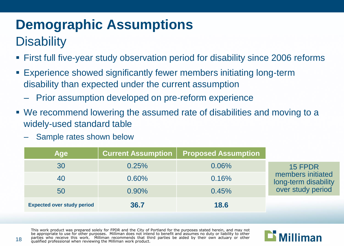### **Disability**

- First full five-year study observation period for disability since 2006 reforms
- Experience showed significantly fewer members initiating long-term disability than expected under the current assumption
	- Prior assumption developed on pre-reform experience
- We recommend lowering the assumed rate of disabilities and moving to a widely-used standard table
	- Sample rates shown below

| Age                               | <b>Current Assumption</b> | <b>Proposed Assumption</b> |                                           |
|-----------------------------------|---------------------------|----------------------------|-------------------------------------------|
| 30                                | 0.25%                     | 0.06%                      | 15 FPDR                                   |
| 40                                | $0.60\%$                  | 0.16%                      | members initiated<br>long-term disability |
| 50                                | $0.90\%$                  | 0.45%                      | over study period                         |
| <b>Expected over study period</b> | 36.7                      | 18.6                       |                                           |

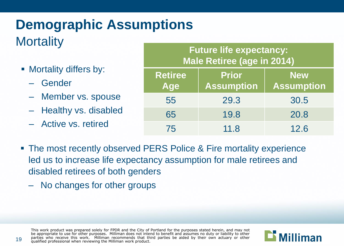#### **Demographic Assumptions Mortality**

- **Mortality differs by:** 
	- Gender
	- Member vs. spouse
	- Healthy vs. disabled
	- Active vs. retired

#### **Future life expectancy: Male Retiree (age in 2014)**

| <b>Retiree</b><br>Age | <b>Prior</b><br><b>Assumption</b> | <b>New</b><br><b>Assumption</b> |
|-----------------------|-----------------------------------|---------------------------------|
| 55                    | 29.3                              | 30.5                            |
| 65                    | 19.8                              | 20.8                            |
| 75                    | 11.8                              | 12.6                            |

- The most recently observed PERS Police & Fire mortality experience led us to increase life expectancy assumption for male retirees and disabled retirees of both genders
	- No changes for other groups

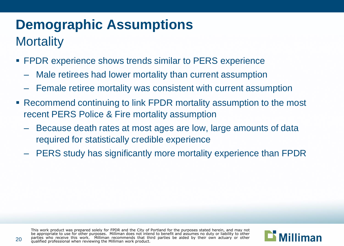### **Demographic Assumptions Mortality**

- **FPDR** experience shows trends similar to PERS experience
	- Male retirees had lower mortality than current assumption
	- Female retiree mortality was consistent with current assumption
- Recommend continuing to link FPDR mortality assumption to the most recent PERS Police & Fire mortality assumption
	- Because death rates at most ages are low, large amounts of data required for statistically credible experience
	- PERS study has significantly more mortality experience than FPDR

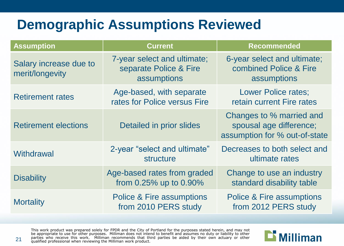#### **Demographic Assumptions Reviewed**

| <b>Assumption</b>                         | <b>Current</b>                                                       | <b>Recommended</b>                                                                   |
|-------------------------------------------|----------------------------------------------------------------------|--------------------------------------------------------------------------------------|
| Salary increase due to<br>merit/longevity | 7-year select and ultimate;<br>separate Police & Fire<br>assumptions | 6-year select and ultimate;<br>combined Police & Fire<br>assumptions                 |
| <b>Retirement rates</b>                   | Age-based, with separate<br>rates for Police versus Fire             | <b>Lower Police rates;</b><br>retain current Fire rates                              |
| <b>Retirement elections</b>               | Detailed in prior slides                                             | Changes to % married and<br>spousal age difference;<br>assumption for % out-of-state |
| Withdrawal                                | 2-year "select and ultimate"<br>structure                            | Decreases to both select and<br>ultimate rates                                       |
| <b>Disability</b>                         | Age-based rates from graded<br>from 0.25% up to 0.90%                | Change to use an industry<br>standard disability table                               |
| <b>Mortality</b>                          | <b>Police &amp; Fire assumptions</b><br>from 2010 PERS study         | <b>Police &amp; Fire assumptions</b><br>from 2012 PERS study                         |

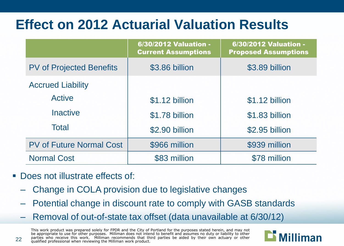#### **Effect on 2012 Actuarial Valuation Results**

|                                 | 6/30/2012 Valuation -<br><b>Current Assumptions</b> | <b>6/30/2012 Valuation -</b><br><b>Proposed Assumptions</b> |
|---------------------------------|-----------------------------------------------------|-------------------------------------------------------------|
| <b>PV of Projected Benefits</b> | \$3.86 billion                                      | \$3.89 billion                                              |
| <b>Accrued Liability</b>        |                                                     |                                                             |
| <b>Active</b>                   | \$1.12 billion                                      | \$1.12 billion                                              |
| <b>Inactive</b>                 | \$1.78 billion                                      | \$1.83 billion                                              |
| <b>Total</b>                    | \$2.90 billion                                      | \$2.95 billion                                              |
| <b>PV of Future Normal Cost</b> | \$966 million                                       | \$939 million                                               |
| <b>Normal Cost</b>              | \$83 million                                        | \$78 million                                                |

- Does not illustrate effects of:
	- Change in COLA provision due to legislative changes
	- Potential change in discount rate to comply with GASB standards
	- Removal of out-of-state tax offset (data unavailable at 6/30/12)

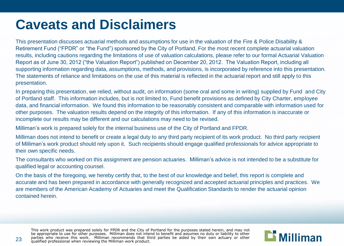#### **Caveats and Disclaimers**

This presentation discusses actuarial methods and assumptions for use in the valuation of the Fire & Police Disability & Retirement Fund ("FPDR" or "the Fund") sponsored by the City of Portland. For the most recent complete actuarial valuation results, including cautions regarding the limitations of use of valuation calculations, please refer to our formal Actuarial Valuation Report as of June 30, 2012 ("the Valuation Report") published on December 20, 2012. The Valuation Report, including all supporting information regarding data, assumptions, methods, and provisions, is incorporated by reference into this presentation. The statements of reliance and limitations on the use of this material is reflected in the actuarial report and still apply to this presentation.

In preparing this presentation, we relied, without audit, on information (some oral and some in writing) supplied by Fund and City of Portland staff. This information includes, but is not limited to, Fund benefit provisions as defined by City Charter, employee data, and financial information. We found this information to be reasonably consistent and comparable with information used for other purposes. The valuation results depend on the integrity of this information. If any of this information is inaccurate or incomplete our results may be different and our calculations may need to be revised.

Milliman's work is prepared solely for the internal business use of the City of Portland and FPDR.

Milliman does not intend to benefit or create a legal duty to any third party recipient of its work product. No third party recipient of Milliman's work product should rely upon it. Such recipients should engage qualified professionals for advice appropriate to their own specific needs.

The consultants who worked on this assignment are pension actuaries. Milliman's advice is not intended to be a substitute for qualified legal or accounting counsel.

On the basis of the foregoing, we hereby certify that, to the best of our knowledge and belief, this report is complete and accurate and has been prepared in accordance with generally recognized and accepted actuarial principles and practices. We are members of the American Academy of Actuaries and meet the Qualification Standards to render the actuarial opinion contained herein.

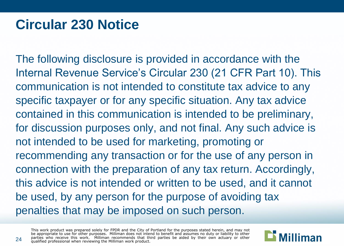#### **Circular 230 Notice**

The following disclosure is provided in accordance with the Internal Revenue Service's Circular 230 (21 CFR Part 10). This communication is not intended to constitute tax advice to any specific taxpayer or for any specific situation. Any tax advice contained in this communication is intended to be preliminary, for discussion purposes only, and not final. Any such advice is not intended to be used for marketing, promoting or recommending any transaction or for the use of any person in connection with the preparation of any tax return. Accordingly, this advice is not intended or written to be used, and it cannot be used, by any person for the purpose of avoiding tax penalties that may be imposed on such person.

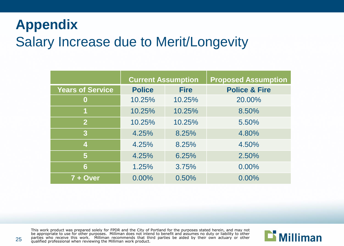#### **Appendix**  Salary Increase due to Merit/Longevity

|                         | <b>Current Assumption</b> |             | <b>Proposed Assumption</b> |
|-------------------------|---------------------------|-------------|----------------------------|
| <b>Years of Service</b> | <b>Police</b>             | <b>Fire</b> | <b>Police &amp; Fire</b>   |
| 0                       | 10.25%                    | 10.25%      | 20.00%                     |
| 1                       | 10.25%                    | 10.25%      | 8.50%                      |
| $\mathbf{2}$            | 10.25%                    | 10.25%      | 5.50%                      |
| $\overline{3}$          | 4.25%                     | 8.25%       | 4.80%                      |
| 4                       | 4.25%                     | 8.25%       | 4.50%                      |
| 5                       | 4.25%                     | 6.25%       | 2.50%                      |
| 6                       | 1.25%                     | 3.75%       | 0.00%                      |
| 7 + Over                | 0.00%                     | 0.50%       | 0.00%                      |

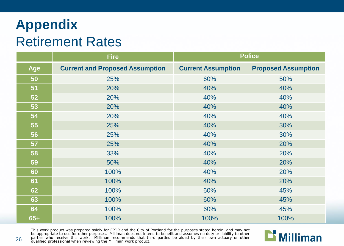#### **Appendix**  Retirement Rates

|            | <b>Fire</b>                            | <b>Police</b>             |                            |
|------------|----------------------------------------|---------------------------|----------------------------|
| <b>Age</b> | <b>Current and Proposed Assumption</b> | <b>Current Assumption</b> | <b>Proposed Assumption</b> |
| 50         | 25%                                    | 60%                       | 50%                        |
| 51         | 20%                                    | 40%                       | 40%                        |
| 52         | 20%                                    | 40%                       | 40%                        |
| 53         | 20%                                    | 40%                       | 40%                        |
| 54         | 20%                                    | 40%                       | 40%                        |
| 55         | 25%                                    | 40%                       | 30%                        |
| 56         | 25%                                    | 40%                       | 30%                        |
| 57         | 25%                                    | 40%                       | 20%                        |
| 58         | 33%                                    | 40%                       | 20%                        |
| 59         | 50%                                    | 40%                       | 20%                        |
| 60         | 100%                                   | 40%                       | 20%                        |
| 61         | 100%                                   | 40%                       | 20%                        |
| 62         | 100%                                   | 60%                       | 45%                        |
| 63         | 100%                                   | 60%                       | 45%                        |
| 64         | 100%                                   | 60%                       | 45%                        |
| $65+$      | 100%                                   | 100%                      | 100%                       |

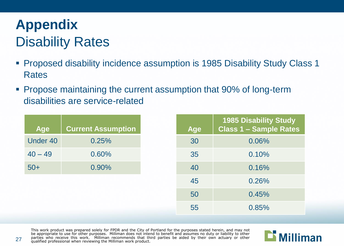#### **Appendix**  Disability Rates

- Proposed disability incidence assumption is 1985 Disability Study Class 1 Rates
- **Propose maintaining the current assumption that 90% of long-term** disabilities are service-related

| <b>Age</b>      | <b>Current Assumption</b> | <b>Age</b> | <b>1985 Disability Study</b><br><b>Class 1 - Sample Rates</b> |
|-----------------|---------------------------|------------|---------------------------------------------------------------|
| <b>Under 40</b> | 0.25%                     | 30         | 0.06%                                                         |
| $40 - 49$       | 0.60%                     | 35         | 0.10%                                                         |
| $50+$           | 0.90%                     | 40         | 0.16%                                                         |
|                 |                           | 45         | 0.26%                                                         |
|                 |                           | 50         | 0.45%                                                         |
|                 |                           | 55         | 0.85%                                                         |